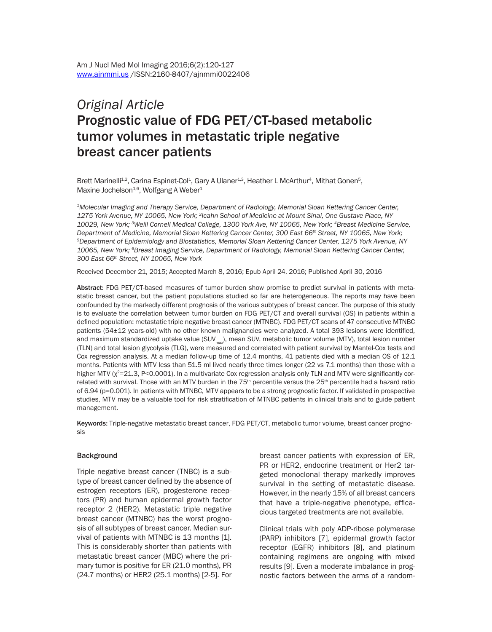# *Original Article* Prognostic value of FDG PET/CT-based metabolic tumor volumes in metastatic triple negative breast cancer patients

Brett Marinelli<sup>1,2</sup>, Carina Espinet-Col<sup>1</sup>, Gary A Ulaner<sup>1,3</sup>, Heather L McArthur<sup>4</sup>, Mithat Gonen<sup>5</sup>, Maxine Jochelson<sup>1,6</sup>, Wolfgang A Weber<sup>1</sup>

*1Molecular Imaging and Therapy Service, Department of Radiology, Memorial Sloan Kettering Cancer Center, 1275 York Avenue, NY 10065, New York; 2Icahn School of Medicine at Mount Sinai, One Gustave Place, NY 10029, New York; 3Weill Cornell Medical College, 1300 York Ave, NY 10065, New York; 4Breast Medicine Service, Department of Medicine, Memorial Sloan Kettering Cancer Center, 300 East 66<sup>th</sup> Street, NY 10065, New York;<br><sup>5</sup>Department of Epidemiology and Biostatistics, Memorial Sloan Kettering Cancer Center, 1275 York Avenue, NY 10065, New York; 6Breast Imaging Service, Department of Radiology, Memorial Sloan Kettering Cancer Center, 300 East 66th Street, NY 10065, New York*

Received December 21, 2015; Accepted March 8, 2016; Epub April 24, 2016; Published April 30, 2016

Abstract: FDG PET/CT-based measures of tumor burden show promise to predict survival in patients with metastatic breast cancer, but the patient populations studied so far are heterogeneous. The reports may have been confounded by the markedly different prognosis of the various subtypes of breast cancer. The purpose of this study is to evaluate the correlation between tumor burden on FDG PET/CT and overall survival (OS) in patients within a defined population: metastatic triple negative breast cancer (MTNBC). FDG PET/CT scans of 47 consecutive MTNBC patients (54±12 years-old) with no other known malignancies were analyzed. A total 393 lesions were identified, and maximum standardized uptake value (SUV<sub>max</sub>), mean SUV, metabolic tumor volume (MTV), total lesion number (TLN) and total lesion glycolysis (TLG), were measured and correlated with patient survival by Mantel-Cox tests and Cox regression analysis. At a median follow-up time of 12.4 months, 41 patients died with a median OS of 12.1 months. Patients with MTV less than 51.5 ml lived nearly three times longer (22 vs 7.1 months) than those with a higher MTV (χ<sup>2</sup>=21.3, P<0.0001). In a multivariate Cox regression analysis only TLN and MTV were significantly correlated with survival. Those with an MTV burden in the 75<sup>th</sup> percentile versus the 25<sup>th</sup> percentile had a hazard ratio of 6.94 (p=0.001). In patients with MTNBC, MTV appears to be a strong prognostic factor. If validated in prospective studies, MTV may be a valuable tool for risk stratification of MTNBC patients in clinical trials and to guide patient management.

Keywords: Triple-negative metastatic breast cancer, FDG PET/CT, metabolic tumor volume, breast cancer prognosis

## **Background**

Triple negative breast cancer (TNBC) is a subtype of breast cancer defined by the absence of estrogen receptors (ER), progesterone receptors (PR) and human epidermal growth factor receptor 2 (HER2). Metastatic triple negative breast cancer (MTNBC) has the worst prognosis of all subtypes of breast cancer. Median survival of patients with MTNBC is 13 months [1]. This is considerably shorter than patients with metastatic breast cancer (MBC) where the primary tumor is positive for ER (21.0 months), PR (24.7 months) or HER2 (25.1 months) [2-5]. For breast cancer patients with expression of ER, PR or HER2, endocrine treatment or Her2 targeted monoclonal therapy markedly improves survival in the setting of metastatic disease. However, in the nearly 15% of all breast cancers that have a triple-negative phenotype, efficacious targeted treatments are not available.

Clinical trials with poly ADP-ribose polymerase (PARP) inhibitors [7], epidermal growth factor receptor (EGFR) inhibitors [8], and platinum containing regimens are ongoing with mixed results [9]. Even a moderate imbalance in prognostic factors between the arms of a random-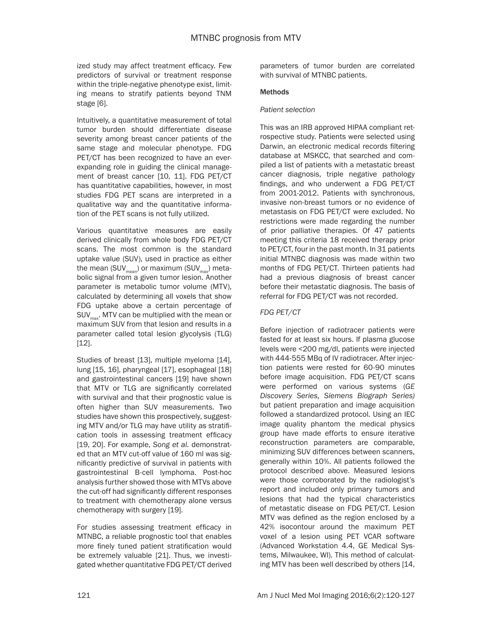ized study may affect treatment efficacy. Few predictors of survival or treatment response within the triple-negative phenotype exist, limiting means to stratify patients beyond TNM stage [6].

Intuitively, a quantitative measurement of total tumor burden should differentiate disease severity among breast cancer patients of the same stage and molecular phenotype. FDG PET/CT has been recognized to have an everexpanding role in guiding the clinical management of breast cancer [10, 11]. FDG PET/CT has quantitative capabilities, however, in most studies FDG PET scans are interpreted in a qualitative way and the quantitative information of the PET scans is not fully utilized.

Various quantitative measures are easily derived clinically from whole body FDG PET/CT scans. The most common is the standard uptake value (SUV), used in practice as either the mean (SUV $_{\text{mean}}$ ) or maximum (SUV $_{\text{max}}$ ) metabolic signal from a given tumor lesion. Another parameter is metabolic tumor volume (MTV), calculated by determining all voxels that show FDG uptake above a certain percentage of  $SUV_{\text{max}}$ . MTV can be multiplied with the mean or maximum SUV from that lesion and results in a parameter called total lesion glycolysis (TLG) [12].

Studies of breast [13], multiple myeloma [14], lung [15, 16], pharyngeal [17], esophageal [18] and gastrointestinal cancers [19] have shown that MTV or TLG are significantly correlated with survival and that their prognostic value is often higher than SUV measurements. Two studies have shown this prospectively, suggesting MTV and/or TLG may have utility as stratification tools in assessing treatment efficacy [19, 20]. For example, *Song et al.* demonstrated that an MTV cut-off value of 160 ml was significantly predictive of survival in patients with gastrointestinal B-cell lymphoma. Post-hoc analysis further showed those with MTVs above the cut-off had significantly different responses to treatment with chemotherapy alone versus chemotherapy with surgery [19].

For studies assessing treatment efficacy in MTNBC, a reliable prognostic tool that enables more finely tuned patient stratification would be extremely valuable [21]. Thus, we investigated whether quantitative FDG PET/CT derived parameters of tumor burden are correlated with survival of MTNBC patients.

# **Methods**

# *Patient selection*

This was an IRB approved HIPAA compliant retrospective study. Patients were selected using Darwin, an electronic medical records filtering database at MSKCC, that searched and compiled a list of patients with a metastatic breast cancer diagnosis, triple negative pathology findings, and who underwent a FDG PET/CT from 2001-2012. Patients with synchronous, invasive non-breast tumors or no evidence of metastasis on FDG PET/CT were excluded. No restrictions were made regarding the number of prior palliative therapies. Of 47 patients meeting this criteria 18 received therapy prior to PET/CT, four in the past month. In 31 patients initial MTNBC diagnosis was made within two months of FDG PET/CT. Thirteen patients had had a previous diagnosis of breast cancer before their metastatic diagnosis. The basis of referral for FDG PET/CT was not recorded.

# *FDG PET/CT*

Before injection of radiotracer patients were fasted for at least six hours. If plasma glucose levels were <200 mg/dl, patients were injected with 444-555 MBq of IV radiotracer. After injection patients were rested for 60-90 minutes before image acquisition. FDG PET/CT scans were performed on various systems (*GE Discovery Series, Siemens Biograph Series)* but patient preparation and image acquisition followed a standardized protocol*.* Using an IEC image quality phantom the medical physics group have made efforts to ensure iterative reconstruction parameters are comparable, minimizing SUV differences between scanners, generally within 10%. All patients followed the protocol described above. Measured lesions were those corroborated by the radiologist's report and included only primary tumors and lesions that had the typical characteristics of metastatic disease on FDG PET/CT. Lesion MTV was defined as the region enclosed by a 42% isocontour around the maximum PET voxel of a lesion using PET VCAR software (Advanced Workstation 4.4, GE Medical Systems, Milwaukee, WI). This method of calculating MTV has been well described by others [14,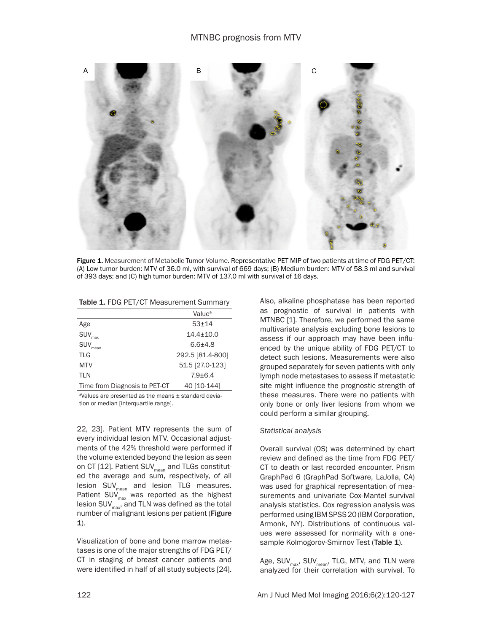

Figure 1. Measurement of Metabolic Tumor Volume. Representative PET MIP of two patients at time of FDG PET/CT: (A) Low tumor burden: MTV of 36.0 ml, with survival of 669 days; (B) Medium burden: MTV of 58.3 ml and survival of 393 days; and (C) high tumor burden: MTV of 137.0 ml with survival of 16 days.

|                                                   | Value <sup>a</sup> |  |  |
|---------------------------------------------------|--------------------|--|--|
| Age                                               | $53 + 14$          |  |  |
| <b>SUV</b><br>max                                 | $14.4 \pm 10.0$    |  |  |
| <b>SUV</b><br>mean                                | $6.6 + 4.8$        |  |  |
| <b>TLG</b>                                        | 292.5 [81.4-800]   |  |  |
| <b>MTV</b>                                        | 51.5 [27.0-123]    |  |  |
| <b>TLN</b>                                        | $7.9 + 6.4$        |  |  |
| Time from Diagnosis to PET-CT                     | 40 [10-144]        |  |  |
| algung are presented as the means Letanderd devia |                    |  |  |

Table 1. FDG PET/CT Measurement Summary

a Values are presented as the means ± standard deviation or median [interquartile range].

22, 23]. Patient MTV represents the sum of every individual lesion MTV. Occasional adjustments of the 42% threshold were performed if the volume extended beyond the lesion as seen on CT  $[12]$ . Patient SUV<sub>mean</sub> and TLGs constituted the average and sum, respectively, of all  $lesion$  SUV $_{mean}$  and lesion TLG measures. Patient SUV $_{\text{max}}$  was reported as the highest lesion  $\text{SUV}_{\text{max}}$ , and TLN was defined as the total number of malignant lesions per patient (Figure 1).

Visualization of bone and bone marrow metastases is one of the major strengths of FDG PET/ CT in staging of breast cancer patients and were identified in half of all study subjects [24]. Also, alkaline phosphatase has been reported as prognostic of survival in patients with MTNBC [1]. Therefore, we performed the same multivariate analysis excluding bone lesions to assess if our approach may have been influenced by the unique ability of FDG PET/CT to detect such lesions. Measurements were also grouped separately for seven patients with only lymph node metastases to assess if metastatic site might influence the prognostic strength of these measures. There were no patients with only bone or only liver lesions from whom we could perform a similar grouping.

## *Statistical analysis*

Overall survival (OS) was determined by chart review and defined as the time from FDG PET/ CT to death or last recorded encounter. Prism GraphPad 6 (GraphPad Software, LaJolla, CA) was used for graphical representation of measurements and univariate Cox-Mantel survival analysis statistics. Cox regression analysis was performed using IBM SPSS 20 (IBM Corporation, Armonk, NY). Distributions of continuous values were assessed for normality with a onesample Kolmogorov-Smirnov Test (Table 1).

Age,  $SUV_{max}$ ,  $SUV_{mean}$ , TLG, MTV, and TLN were analyzed for their correlation with survival. To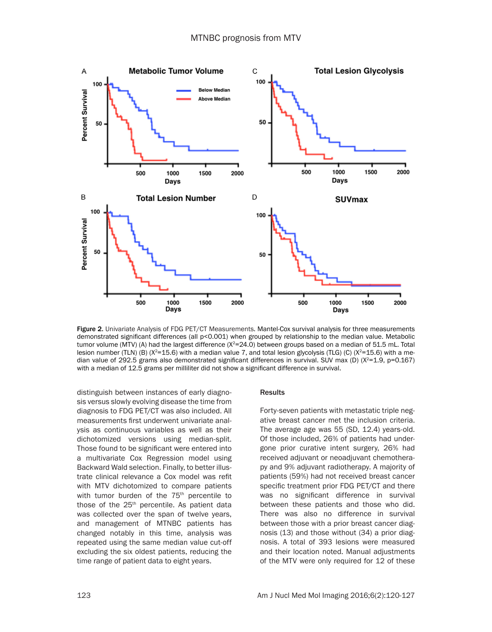

Figure 2. Univariate Analysis of FDG PET/CT Measurements. Mantel-Cox survival analysis for three measurements demonstrated significant differences (all p<0.001) when grouped by relationship to the median value. Metabolic tumor volume (MTV) (A) had the largest difference ( $X^2$ =24.0) between groups based on a median of 51.5 mL. Total lesion number (TLN) (B) ( $X^2=15.6$ ) with a median value 7, and total lesion glycolysis (TLG) (C) ( $X^2=15.6$ ) with a median value of 292.5 grams also demonstrated significant differences in survival. SUV max (D) ( $X^2$ =1.9, p=0.167) with a median of 12.5 grams per milliliter did not show a significant difference in survival.

distinguish between instances of early diagnosis versus slowly evolving disease the time from diagnosis to FDG PET/CT was also included. All measurements first underwent univariate analysis as continuous variables as well as their dichotomized versions using median-split. Those found to be significant were entered into a multivariate Cox Regression model using Backward Wald selection. Finally, to better illustrate clinical relevance a Cox model was refit with MTV dichotomized to compare patients with tumor burden of the 75<sup>th</sup> percentile to those of the  $25<sup>th</sup>$  percentile. As patient data was collected over the span of twelve years, and management of MTNBC patients has changed notably in this time, analysis was repeated using the same median value cut-off excluding the six oldest patients, reducing the time range of patient data to eight years.

#### **Results**

Forty-seven patients with metastatic triple negative breast cancer met the inclusion criteria. The average age was 55 (SD, 12.4) years-old. Of those included, 26% of patients had undergone prior curative intent surgery, 26% had received adjuvant or neoadjuvant chemotherapy and 9% adjuvant radiotherapy. A majority of patients (59%) had not received breast cancer specific treatment prior FDG PET/CT and there was no significant difference in survival between these patients and those who did. There was also no difference in survival between those with a prior breast cancer diagnosis (13) and those without (34) a prior diagnosis. A total of 393 lesions were measured and their location noted. Manual adjustments of the MTV were only required for 12 of these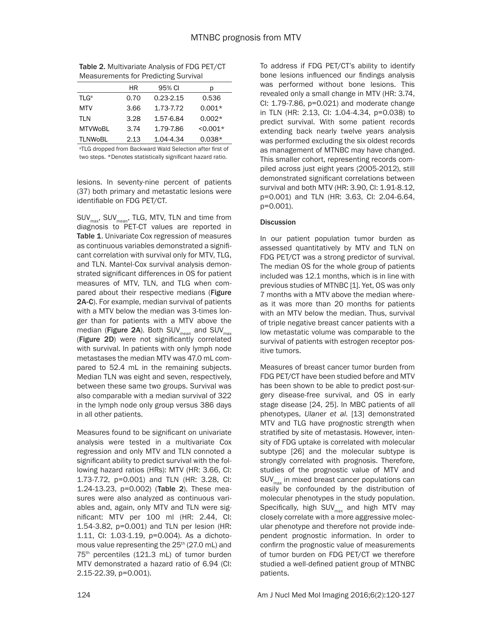| <b>Measurements for Predicting Survival</b> |      |               |            |  |
|---------------------------------------------|------|---------------|------------|--|
|                                             | HR   | 95% CI        | b          |  |
| <b>TLG</b> <sup>a</sup>                     | 0.70 | $0.23 - 2.15$ | 0.536      |  |
| <b>MTV</b>                                  | 3.66 | 1.73-7.72     | $0.001*$   |  |
| <b>TLN</b>                                  | 3.28 | 1.57-6.84     | $0.002*$   |  |
| <b>MTVWoBL</b>                              | 3.74 | 1.79-7.86     | $< 0.001*$ |  |
| <b>TLNWoBL</b>                              | 2.13 | 1.04-4.34     | $0.038*$   |  |

| <b>Table 2. Multivariate Analysis of FDG PET/CT</b> |
|-----------------------------------------------------|
| <b>Measurements for Predicting Survival</b>         |

a TLG dropped from Backward Wald Selection after first of two steps. \*Denotes statistically significant hazard ratio.

lesions. In seventy-nine percent of patients (37) both primary and metastatic lesions were identifiable on FDG PET/CT.

SUV<sub>max</sub>, SUV<sub>mean</sub>, TLG, MTV, TLN and time from diagnosis to PET-CT values are reported in Table 1. Univariate Cox regression of measures as continuous variables demonstrated a significant correlation with survival only for MTV, TLG, and TLN. Mantel-Cox survival analysis demonstrated significant differences in OS for patient measures of MTV, TLN, and TLG when compared about their respective medians (Figure 2A-C). For example, median survival of patients with a MTV below the median was 3-times longer than for patients with a MTV above the median (Figure 2A). Both SUV<sub>mean</sub> and SUV<sub>max</sub> (Figure 2D) were not significantly correlated with survival. In patients with only lymph node metastases the median MTV was 47.0 mL compared to 52.4 mL in the remaining subjects. Median TLN was eight and seven, respectively, between these same two groups. Survival was also comparable with a median survival of 322 in the lymph node only group versus 386 days in all other patients.

Measures found to be significant on univariate analysis were tested in a multivariate Cox regression and only MTV and TLN connoted a significant ability to predict survival with the following hazard ratios (HRs): MTV (HR: 3.66, CI: 1.73-7.72, p=0.001) and TLN (HR: 3.28, CI: 1.24-13.23, p=0.002) (Table 2). These measures were also analyzed as continuous variables and, again, only MTV and TLN were significant: MTV per 100 ml (HR: 2.44, CI: 1.54-3.82, p=0.001) and TLN per lesion (HR: 1.11, CI: 1.03-1.19, p=0.004). As a dichotomous value representing the  $25<sup>th</sup>$  (27.0 mL) and 75th percentiles (121.3 mL) of tumor burden MTV demonstrated a hazard ratio of 6.94 (CI: 2.15-22.39, p=0.001).

To address if FDG PET/CT's ability to identify bone lesions influenced our findings analysis was performed without bone lesions. This revealed only a small change in MTV (HR: 3.74, CI: 1.79-7.86, p=0.021) and moderate change in TLN (HR: 2.13, CI: 1.04-4.34, p=0.038) to predict survival. With some patient records extending back nearly twelve years analysis was performed excluding the six oldest records as management of MTNBC may have changed. This smaller cohort, representing records compiled across just eight years (2005-2012), still demonstrated significant correlations between survival and both MTV (HR: 3.90, CI: 1.91-8.12, p=0.001) and TLN (HR: 3.63, CI: 2.04-6.64, p=0.001).

## **Discussion**

In our patient population tumor burden as assessed quantitatively by MTV and TLN on FDG PET/CT was a strong predictor of survival. The median OS for the whole group of patients included was 12.1 months, which is in line with previous studies of MTNBC [1]. Yet, OS was only 7 months with a MTV above the median whereas it was more than 20 months for patients with an MTV below the median. Thus, survival of triple negative breast cancer patients with a low metastatic volume was comparable to the survival of patients with estrogen receptor positive tumors.

Measures of breast cancer tumor burden from FDG PET/CT have been studied before and MTV has been shown to be able to predict post-surgery disease-free survival, and OS in early stage disease [24, 25]. In MBC patients of all phenotypes, *Ulaner et al*. [13] demonstrated MTV and TLG have prognostic strength when stratified by site of metastasis. However, intensity of FDG uptake is correlated with molecular subtype [26] and the molecular subtype is strongly correlated with prognosis. Therefore, studies of the prognostic value of MTV and SUV<sub>max</sub> in mixed breast cancer populations can easily be confounded by the distribution of molecular phenotypes in the study population. Specifically, high  $SUV_{max}$  and high MTV may closely correlate with a more aggressive molecular phenotype and therefore not provide independent prognostic information. In order to confirm the prognostic value of measurements of tumor burden on FDG PET/CT we therefore studied a well-defined patient group of MTNBC patients.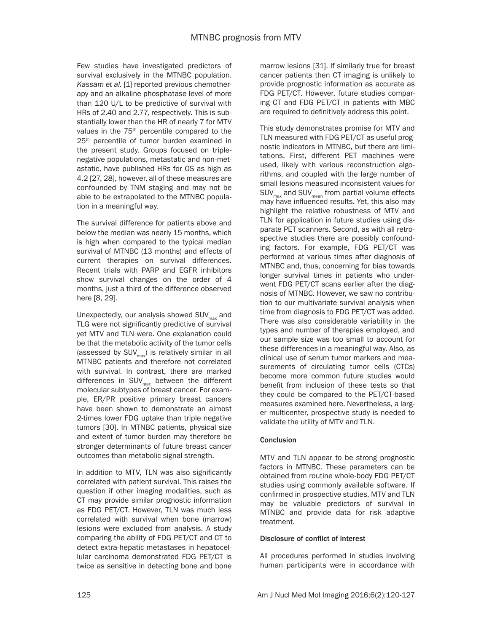Few studies have investigated predictors of survival exclusively in the MTNBC population. *Kassam et al.* [1] reported previous chemotherapy and an alkaline phosphatase level of more than 120 U/L to be predictive of survival with HRs of 2.40 and 2.77, respectively. This is substantially lower than the HR of nearly 7 for MTV values in the 75<sup>th</sup> percentile compared to the 25<sup>th</sup> percentile of tumor burden examined in the present study. Groups focused on triplenegative populations, metastatic and non-metastatic, have published HRs for OS as high as 4.2 [27, 28], however, all of these measures are confounded by TNM staging and may not be able to be extrapolated to the MTNBC population in a meaningful way.

The survival difference for patients above and below the median was nearly 15 months, which is high when compared to the typical median survival of MTNBC (13 months) and effects of current therapies on survival differences. Recent trials with PARP and EGFR inhibitors show survival changes on the order of 4 months, just a third of the difference observed here [8, 29].

Unexpectedly, our analysis showed  $\text{SUV}_{\text{max}}$  and TLG were not significantly predictive of survival yet MTV and TLN were. One explanation could be that the metabolic activity of the tumor cells (assessed by  $SUV_{max}$ ) is relatively similar in all MTNBC patients and therefore not correlated with survival. In contrast, there are marked differences in  $SUV_{max}$  between the different molecular subtypes of breast cancer. For example, ER/PR positive primary breast cancers have been shown to demonstrate an almost 2-times lower FDG uptake than triple negative tumors [30]. In MTNBC patients, physical size and extent of tumor burden may therefore be stronger determinants of future breast cancer outcomes than metabolic signal strength.

In addition to MTV, TLN was also significantly correlated with patient survival. This raises the question if other imaging modalities, such as CT may provide similar prognostic information as FDG PET/CT. However, TLN was much less correlated with survival when bone (marrow) lesions were excluded from analysis. A study comparing the ability of FDG PET/CT and CT to detect extra-hepatic metastases in hepatocellular carcinoma demonstrated FDG PET/CT is twice as sensitive in detecting bone and bone marrow lesions [31]. If similarly true for breast cancer patients then CT imaging is unlikely to provide prognostic information as accurate as FDG PET/CT. However, future studies comparing CT and FDG PET/CT in patients with MBC are required to definitively address this point.

This study demonstrates promise for MTV and TLN measured with FDG PET/CT as useful prognostic indicators in MTNBC, but there are limitations. First, different PET machines were used, likely with various reconstruction algorithms, and coupled with the large number of small lesions measured inconsistent values for  $\textsf{SUV}_\textsf{max}$  and  $\textsf{SUV}_\textsf{mean}$  from partial volume effects may have influenced results. Yet, this also may highlight the relative robustness of MTV and TLN for application in future studies using disparate PET scanners. Second, as with all retrospective studies there are possibly confounding factors. For example, FDG PET/CT was performed at various times after diagnosis of MTNBC and, thus, concerning for bias towards longer survival times in patients who underwent FDG PET/CT scans earlier after the diagnosis of MTNBC. However, we saw no contribution to our multivariate survival analysis when time from diagnosis to FDG PET/CT was added. There was also considerable variability in the types and number of therapies employed, and our sample size was too small to account for these differences in a meaningful way. Also, as clinical use of serum tumor markers and measurements of circulating tumor cells (CTCs) become more common future studies would benefit from inclusion of these tests so that they could be compared to the PET/CT-based measures examined here. Nevertheless, a larger multicenter, prospective study is needed to validate the utility of MTV and TLN.

# **Conclusion**

MTV and TLN appear to be strong prognostic factors in MTNBC. These parameters can be obtained from routine whole-body FDG PET/CT studies using commonly available software. If confirmed in prospective studies, MTV and TLN may be valuable predictors of survival in MTNBC and provide data for risk adaptive treatment.

# Disclosure of conflict of interest

All procedures performed in studies involving human participants were in accordance with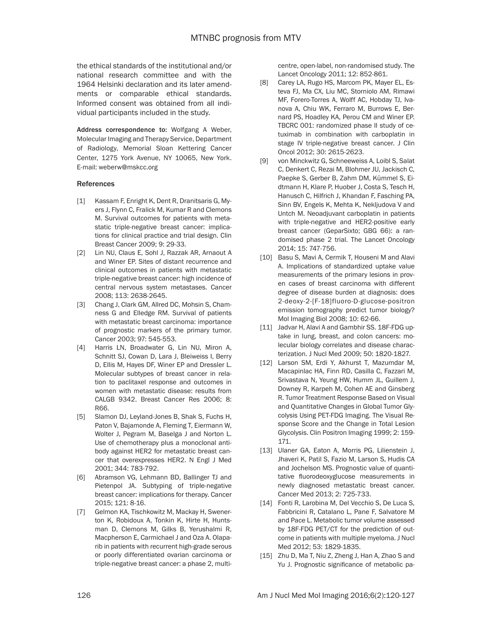the ethical standards of the institutional and/or national research committee and with the 1964 Helsinki declaration and its later amendments or comparable ethical standards. Informed consent was obtained from all individual participants included in the study.

Address correspondence to: Wolfgang A Weber, Molecular Imaging and Therapy Service, Department of Radiology, Memorial Sloan Kettering Cancer Center, 1275 York Avenue, NY 10065, New York. E-mail: [weberw@mskcc.org](mailto:weberw@mskcc.org)

## **References**

- [1] Kassam F, Enright K, Dent R, Dranitsaris G, Myers J, Flynn C, Fralick M, Kumar R and Clemons M. Survival outcomes for patients with metastatic triple-negative breast cancer: implications for clinical practice and trial design. Clin Breast Cancer 2009; 9: 29-33.
- [2] Lin NU, Claus E, Sohl J, Razzak AR, Arnaout A and Winer EP. Sites of distant recurrence and clinical outcomes in patients with metastatic triple-negative breast cancer: high incidence of central nervous system metastases. Cancer 2008; 113: 2638-2645.
- [3] Chang J, Clark GM, Allred DC, Mohsin S, Chamness G and Elledge RM. Survival of patients with metastatic breast carcinoma: importance of prognostic markers of the primary tumor. Cancer 2003; 97: 545-553.
- [4] Harris LN, Broadwater G, Lin NU, Miron A, Schnitt SJ, Cowan D, Lara J, Bleiweiss I, Berry D, Ellis M, Hayes DF, Winer EP and Dressler L. Molecular subtypes of breast cancer in relation to paclitaxel response and outcomes in women with metastatic disease: results from CALGB 9342. Breast Cancer Res 2006; 8: R66.
- [5] Slamon DJ, Leyland-Jones B, Shak S, Fuchs H, Paton V, Bajamonde A, Fleming T, Eiermann W, Wolter J, Pegram M, Baselga J and Norton L. Use of chemotherapy plus a monoclonal antibody against HER2 for metastatic breast cancer that overexpresses HER2. N Engl J Med 2001; 344: 783-792.
- [6] Abramson VG, Lehmann BD, Ballinger TJ and Pietenpol JA. Subtyping of triple-negative breast cancer: implications for therapy. Cancer 2015; 121: 8-16.
- [7] Gelmon KA, Tischkowitz M, Mackay H, Swenerton K, Robidoux A, Tonkin K, Hirte H, Huntsman D, Clemons M, Gilks B, Yerushalmi R, Macpherson E, Carmichael J and Oza A. Olaparib in patients with recurrent high-grade serous or poorly differentiated ovarian carcinoma or triple-negative breast cancer: a phase 2, multi-

centre, open-label, non-randomised study. The Lancet Oncology 2011; 12: 852-861.

- [8] Carey LA, Rugo HS, Marcom PK, Mayer EL, Esteva FJ, Ma CX, Liu MC, Storniolo AM, Rimawi MF, Forero-Torres A, Wolff AC, Hobday TJ, Ivanova A, Chiu WK, Ferraro M, Burrows E, Bernard PS, Hoadley KA, Perou CM and Winer EP. TBCRC 001: randomized phase II study of cetuximab in combination with carboplatin in stage IV triple-negative breast cancer. J Clin Oncol 2012; 30: 2615-2623.
- [9] von Minckwitz G, Schneeweiss A, Loibl S, Salat C, Denkert C, Rezai M, Blohmer JU, Jackisch C, Paepke S, Gerber B, Zahm DM, Kümmel S, Eidtmann H, Klare P, Huober J, Costa S, Tesch H, Hanusch C, Hilfrich J, Khandan F, Fasching PA, Sinn BV, Engels K, Mehta K, Nekljudova V and Untch M. Neoadjuvant carboplatin in patients with triple-negative and HER2-positive early breast cancer (GeparSixto; GBG 66): a randomised phase 2 trial. The Lancet Oncology 2014; 15: 747-756.
- [10] Basu S, Mavi A, Cermik T, Houseni M and Alavi A. Implications of standardized uptake value measurements of the primary lesions in proven cases of breast carcinoma with different degree of disease burden at diagnosis: does 2-deoxy-2-[F-18]fluoro-D-glucose-positron emission tomography predict tumor biology? Mol Imaging Biol 2008; 10: 62-66.
- [11] Jadvar H, Alavi A and Gambhir SS. 18F-FDG uptake in lung, breast, and colon cancers: molecular biology correlates and disease characterization. J Nucl Med 2009; 50: 1820-1827.
- [12] Larson SM, Erdi Y, Akhurst T, Mazumdar M, Macapinlac HA, Finn RD, Casilla C, Fazzari M, Srivastava N, Yeung HW, Humm JL, Guillem J, Downey R, Karpeh M, Cohen AE and Ginsberg R. Tumor Treatment Response Based on Visual and Quantitative Changes in Global Tumor Glycolysis Using PET-FDG Imaging. The Visual Response Score and the Change in Total Lesion Glycolysis. Clin Positron Imaging 1999; 2: 159- 171.
- [13] Ulaner GA, Eaton A, Morris PG, Lilienstein J, Jhaveri K, Patil S, Fazio M, Larson S, Hudis CA and Jochelson MS. Prognostic value of quantitative fluorodeoxyglucose measurements in newly diagnosed metastatic breast cancer. Cancer Med 2013; 2: 725-733.
- [14] Fonti R, Larobina M, Del Vecchio S, De Luca S, Fabbricini R, Catalano L, Pane F, Salvatore M and Pace L. Metabolic tumor volume assessed by 18F-FDG PET/CT for the prediction of outcome in patients with multiple myeloma. J Nucl Med 2012; 53: 1829-1835.
- [15] Zhu D, Ma T, Niu Z, Zheng J, Han A, Zhao S and Yu J. Prognostic significance of metabolic pa-